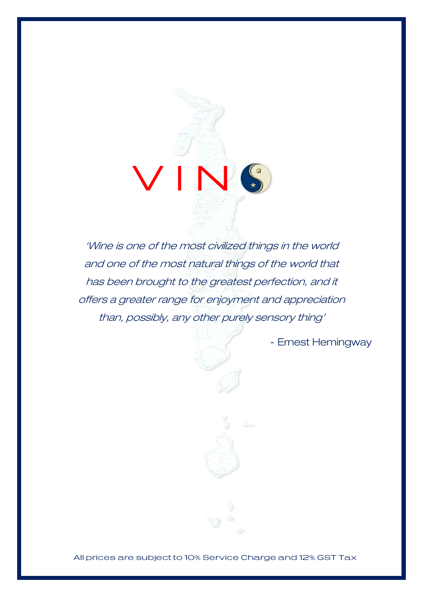'Wine is one of the most civilized things in the world and one of the most natural things of the world that has been brought to the greatest perfection, and it offers a greater range for enjoyment and appreciation than, possibly, any other purely sensory thing'

- Ernest Hemingway

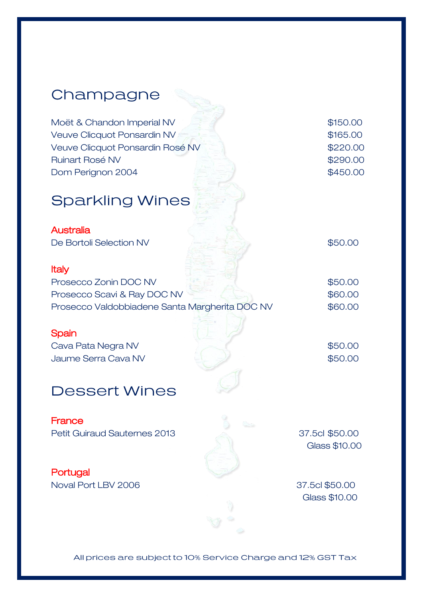# Champagne Moët & Chandon Imperial NV  $\blacksquare$  \$150.00 Veuve Clicquot Ponsardin NV  $\frac{1}{2}$  and  $\frac{1}{2}$  and  $\frac{1}{2}$  \$165.00 Veuve Clicquot Ponsardin Rosé NV **\$220.00** Ruinart Rosé NV **\$290.00 Dom Perignon 2004 \$450.00 Sparkling Wines Australia** De Bortoli Selection NV  $$50.00$ Italy Prosecco Zonin DOC NV  $\qquad \qquad$  \$50.00 Prosecco Scavi & Ray DOC NV \$60.00 Prosecco Valdobbiadene Santa Margherita DOC NV \$60.00 **Spain** Cava Pata Negra NV  $$50.00$ Jaume Serra Cava NV  $\sim$  \$50.00 **Dessert Wines France** Petit Guiraud Sauternes 2013 37.5cl \$50.00 Glass \$10.00 **Portugal**

Noval Port LBV 2006 37.5cl \$50.00

Glass \$10.00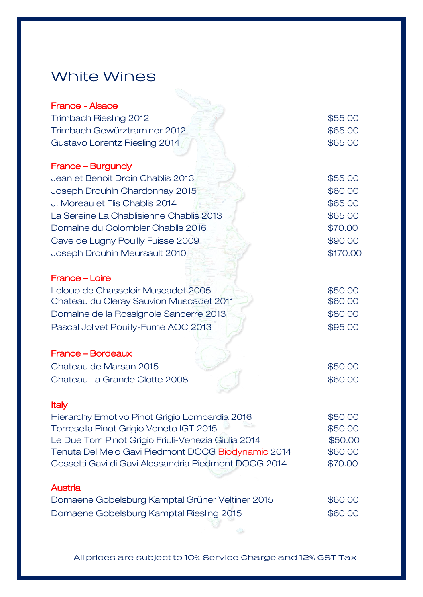### White Wines

| France - Alsace                         |          |
|-----------------------------------------|----------|
| <b>Trimbach Riesling 2012</b>           | \$55.00  |
| Trimbach Gewürztraminer 2012            | \$65.00  |
| Gustavo Lorentz Riesling 2014           | \$65.00  |
| France – Burgundy                       |          |
| Jean et Benoit Droin Chablis 2013       | \$55.00  |
| Joseph Drouhin Chardonnay 2015          | \$60.00  |
| J. Moreau et Flis Chablis 2014          | \$65.00  |
| La Sereine La Chablisienne Chablis 2013 | \$65.00  |
| Domaine du Colombier Chablis 2016       | \$70.00  |
| Cave de Lugny Pouilly Fuisse 2009       | \$90.00  |
| Joseph Drouhin Meursault 2010           | \$170.00 |
| France - Loire                          |          |
| Leloup de Chasseloir Muscadet 2005      | \$50.00  |
| Chateau du Cleray Sauvion Muscadet 2011 | \$60.00  |
| Domaine de la Rossignole Sancerre 2013  | \$80.00  |
| Pascal Jolivet Pouilly-Fumé AOC 2013    | \$95.00  |
| France - Bordeaux                       |          |
|                                         |          |

| Chateau de Marsan 2015        | \$50,00 |
|-------------------------------|---------|
| Chateau La Grande Clotte 2008 | \$60,00 |

#### Italy

| Hierarchy Emotivo Pinot Grigio Lombardia 2016        | \$50.00 |
|------------------------------------------------------|---------|
| Torresella Pinot Grigio Veneto IGT 2015              | \$50.00 |
| Le Due Torri Pinot Grigio Friuli-Venezia Giulia 2014 | \$50.00 |
| Tenuta Del Melo Gavi Piedmont DOCG Biodynamic 2014   | \$60.00 |
| Cossetti Gavi di Gavi Alessandria Piedmont DOCG 2014 | \$70,00 |
|                                                      |         |

### Austria

| Domaene Gobelsburg Kamptal Grüner Veltiner 2015 | \$60.00 |
|-------------------------------------------------|---------|
| Domaene Gobelsburg Kamptal Riesling 2015        | \$60.00 |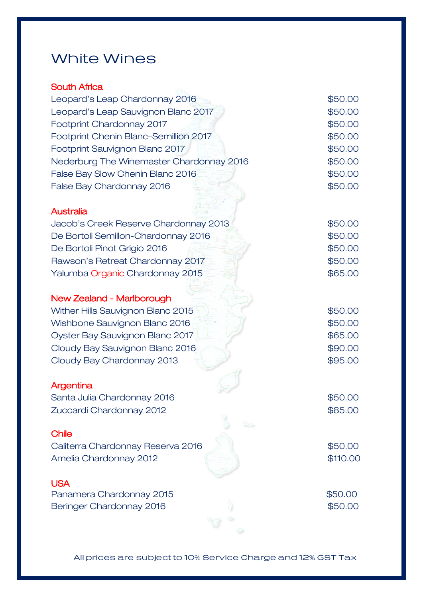## White Wines

#### South Africa

| Leopard's Leap Chardonnay 2016           | \$50.00  |
|------------------------------------------|----------|
| Leopard's Leap Sauvignon Blanc 2017      | \$50.00  |
| Footprint Chardonnay 2017                | \$50.00  |
| Footprint Chenin Blanc-Semillion 2017    | \$50.00  |
| Footprint Sauvignon Blanc 2017           | \$50.00  |
| Nederburg The Winemaster Chardonnay 2016 | \$50.00  |
| False Bay Slow Chenin Blanc 2016         | \$50.00  |
| False Bay Chardonnay 2016                | \$50.00  |
| <b>Australia</b>                         |          |
| Jacob's Creek Reserve Chardonnay 2013    | \$50.00  |
| De Bortoli Semillon-Chardonnay 2016      | \$50.00  |
| De Bortoli Pinot Grigio 2016             | \$50.00  |
| Rawson's Retreat Chardonnay 2017         | \$50.00  |
| Yalumba Organic Chardonnay 2015          | \$65.00  |
| <b>New Zealand - Marlborough</b>         |          |
| Wither Hills Sauvignon Blanc 2015        | \$50.00  |
| Wishbone Sauvignon Blanc 2016            | \$50.00  |
| Oyster Bay Sauvignon Blanc 2017          | \$65.00  |
| Cloudy Bay Sauvignon Blanc 2016          | \$90.00  |
| Cloudy Bay Chardonnay 2013               | \$95.00  |
| Argentina                                |          |
| Santa Julia Chardonnay 2016              | \$50.00  |
| Zuccardi Chardonnay 2012                 | \$85.00  |
| <b>Chile</b>                             |          |
| Caliterra Chardonnay Reserva 2016        | \$50.00  |
| Amelia Chardonnay 2012                   | \$110.00 |
| <b>USA</b>                               |          |
| Panamera Chardonnay 2015                 | \$50.00  |
| Beringer Chardonnay 2016                 | \$50.00  |
|                                          |          |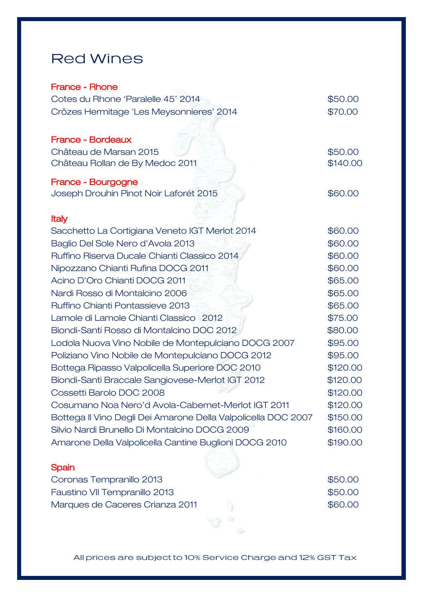### **Red Wines**

#### France - Rhone

| Cotes du Rhone 'Paralelle 45' 2014                            | \$50.00  |
|---------------------------------------------------------------|----------|
| Crôzes Hermitage 'Les Meysonnieres' 2014                      | \$70.00  |
|                                                               |          |
| <b>France - Bordeaux</b>                                      |          |
| Château de Marsan 2015                                        | \$50.00  |
| Château Rollan de By Medoc 2011                               | \$140.00 |
| France - Bourgogne                                            |          |
| Joseph Drouhin Pinot Noir Laforét 2015                        | \$60.00  |
|                                                               |          |
| <b>Italy</b>                                                  |          |
| Sacchetto La Cortigiana Veneto IGT Merlot 2014                | \$60.00  |
| Baglio Del Sole Nero d'Avola 2013                             | \$60.00  |
| Ruffino Riserva Ducale Chianti Classico 2014                  | \$60.00  |
| Nipozzano Chianti Rufina DOCG 2011                            | \$60.00  |
| Acino D'Oro Chianti DOCG 2011                                 | \$65.00  |
| Nardi Rosso di Montalcino 2006                                | \$65.00  |
| Ruffino Chianti Pontassieve 2013                              | \$65.00  |
| Lamole di Lamole Chianti Classico 2012                        | \$75.00  |
| Biondi-Santi Rosso di Montalcino DOC 2012                     | \$80.00  |
| Lodola Nuova Vino Nobile de Montepulciano DOCG 2007           | \$95.00  |
| Poliziano Vino Nobile de Montepulciano DOCG 2012              | \$95.00  |
| Bottega Ripasso Valpolicella Superiore DOC 2010               | \$120.00 |
| Biondi-Santi Braccale Sangiovese-Merlot IGT 2012              | \$120.00 |
| Cossetti Barolo DOC 2008                                      | \$120.00 |
| Cosumano Noa Nero'd Avola-Cabernet-Merlot IGT 2011            | \$120.00 |
| Bottega II Vino Degli Dei Amarone Della Valpolicella DOC 2007 | \$150.00 |
| Silvio Nardi Brunello Di Montalcino DOCG 2009                 | \$160.00 |
| Amarone Della Valpolicella Cantine Buglioni DOCG 2010         | \$190.00 |
|                                                               |          |
| Spain                                                         |          |

#### **Spain**

| Coronas Tempranillo 2013        | \$50.00 |
|---------------------------------|---------|
| Faustino VII Tempranillo 2013   | \$50.00 |
| Marques de Caceres Crianza 2011 | \$60,00 |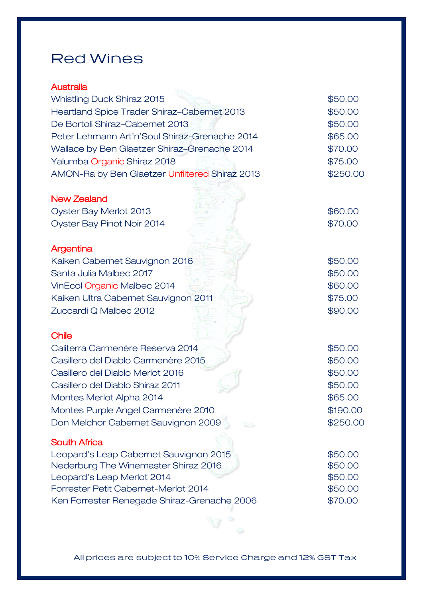### **Red Wines**

#### **Australia**

| <b>Whistling Duck Shiraz 2015</b>                                  | \$50.00            |
|--------------------------------------------------------------------|--------------------|
| Heartland Spice Trader Shiraz-Cabernet 2013                        | \$50.00            |
| De Bortoli Shiraz-Cabernet 2013                                    | \$50.00            |
| Peter Lehmann Art'n'Soul Shiraz-Grenache 2014                      | \$65.00            |
| Wallace by Ben Glaetzer Shiraz-Grenache 2014                       | \$70.00            |
| Yalumba Organic Shiraz 2018                                        | \$75.00            |
| AMON-Ra by Ben Glaetzer Unfiltered Shiraz 2013                     | \$250.00           |
| <b>New Zealand</b>                                                 |                    |
| Oyster Bay Merlot 2013                                             | \$60.00            |
| Oyster Bay Pinot Noir 2014                                         | \$70.00            |
| Argentina                                                          |                    |
| Kaiken Cabernet Sauvignon 2016                                     | \$50.00            |
| Santa Julia Malbec 2017                                            | \$50.00            |
| VinEcol Organic Malbec 2014                                        | \$60.00            |
| Kaiken Ultra Cabernet Sauvignon 2011                               | \$75.00            |
| Zuccardi Q Malbec 2012                                             | \$90.00            |
| <b>Chile</b>                                                       |                    |
| Caliterra Carmenère Reserva 2014                                   | \$50.00            |
| Casillero del Diablo Carmenère 2015                                | \$50.00            |
| Casillero del Diablo Merlot 2016                                   | \$50.00            |
| Casillero del Diablo Shiraz 2011                                   | \$50.00            |
| Montes Merlot Alpha 2014                                           | \$65.00            |
| Montes Purple Angel Carmenère 2010                                 | \$190.00           |
| Don Melchor Cabernet Sauvignon 2009                                | \$250.00           |
| <b>South Africa</b>                                                |                    |
| Leopard's Leap Cabernet Sauvignon 2015                             | \$50.00            |
| Nederburg The Winemaster Shiraz 2016                               | \$50.00            |
| Leopard's Leap Merlot 2014<br>Forrester Petit Cabernet-Merlot 2014 | \$50.00<br>\$50.00 |
| Ken Forrester Renegade Shiraz-Grenache 2006                        | \$70.00            |
|                                                                    |                    |

All prices are subject to 10% Service Charge and 12% GST Tax

 $\mathcal{A}$